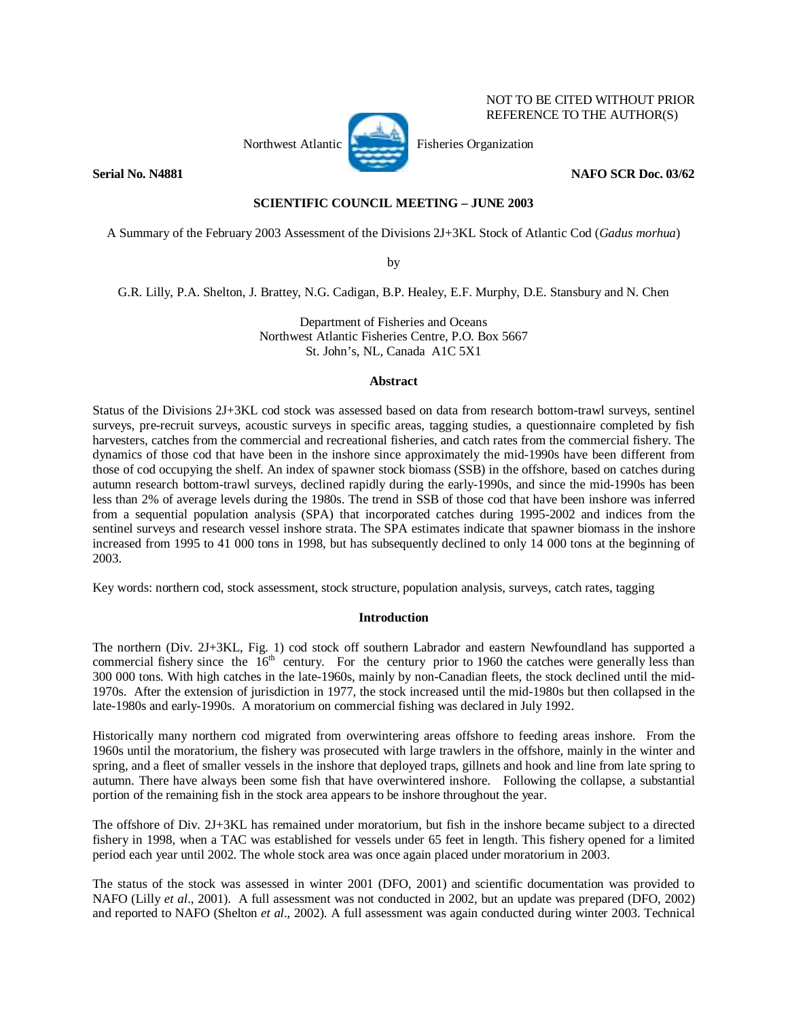

 NOT TO BE CITED WITHOUT PRIOR REFERENCE TO THE AUTHOR(S)

**Serial No. N4881** NAFO SCR Doc. 03/62

# **SCIENTIFIC COUNCIL MEETING – JUNE 2003**

A Summary of the February 2003 Assessment of the Divisions 2J+3KL Stock of Atlantic Cod (*Gadus morhua*)

by

G.R. Lilly, P.A. Shelton, J. Brattey, N.G. Cadigan, B.P. Healey, E.F. Murphy, D.E. Stansbury and N. Chen

Department of Fisheries and Oceans Northwest Atlantic Fisheries Centre, P.O. Box 5667 St. John's, NL, Canada A1C 5X1

## **Abstract**

Status of the Divisions 2J+3KL cod stock was assessed based on data from research bottom-trawl surveys, sentinel surveys, pre-recruit surveys, acoustic surveys in specific areas, tagging studies, a questionnaire completed by fish harvesters, catches from the commercial and recreational fisheries, and catch rates from the commercial fishery. The dynamics of those cod that have been in the inshore since approximately the mid-1990s have been different from those of cod occupying the shelf. An index of spawner stock biomass (SSB) in the offshore, based on catches during autumn research bottom-trawl surveys, declined rapidly during the early-1990s, and since the mid-1990s has been less than 2% of average levels during the 1980s. The trend in SSB of those cod that have been inshore was inferred from a sequential population analysis (SPA) that incorporated catches during 1995-2002 and indices from the sentinel surveys and research vessel inshore strata. The SPA estimates indicate that spawner biomass in the inshore increased from 1995 to 41 000 tons in 1998, but has subsequently declined to only 14 000 tons at the beginning of 2003.

Key words: northern cod, stock assessment, stock structure, population analysis, surveys, catch rates, tagging

## **Introduction**

The northern (Div. 2J+3KL, Fig. 1) cod stock off southern Labrador and eastern Newfoundland has supported a commercial fishery since the  $16<sup>th</sup>$  century. For the century prior to 1960 the catches were generally less than 300 000 tons. With high catches in the late-1960s, mainly by non-Canadian fleets, the stock declined until the mid-1970s. After the extension of jurisdiction in 1977, the stock increased until the mid-1980s but then collapsed in the late-1980s and early-1990s. A moratorium on commercial fishing was declared in July 1992.

Historically many northern cod migrated from overwintering areas offshore to feeding areas inshore. From the 1960s until the moratorium, the fishery was prosecuted with large trawlers in the offshore, mainly in the winter and spring, and a fleet of smaller vessels in the inshore that deployed traps, gillnets and hook and line from late spring to autumn. There have always been some fish that have overwintered inshore. Following the collapse, a substantial portion of the remaining fish in the stock area appears to be inshore throughout the year.

The offshore of Div. 2J+3KL has remained under moratorium, but fish in the inshore became subject to a directed fishery in 1998, when a TAC was established for vessels under 65 feet in length. This fishery opened for a limited period each year until 2002. The whole stock area was once again placed under moratorium in 2003.

The status of the stock was assessed in winter 2001 (DFO, 2001) and scientific documentation was provided to NAFO (Lilly *et al*., 2001). A full assessment was not conducted in 2002, but an update was prepared (DFO, 2002) and reported to NAFO (Shelton *et al*., 2002). A full assessment was again conducted during winter 2003. Technical

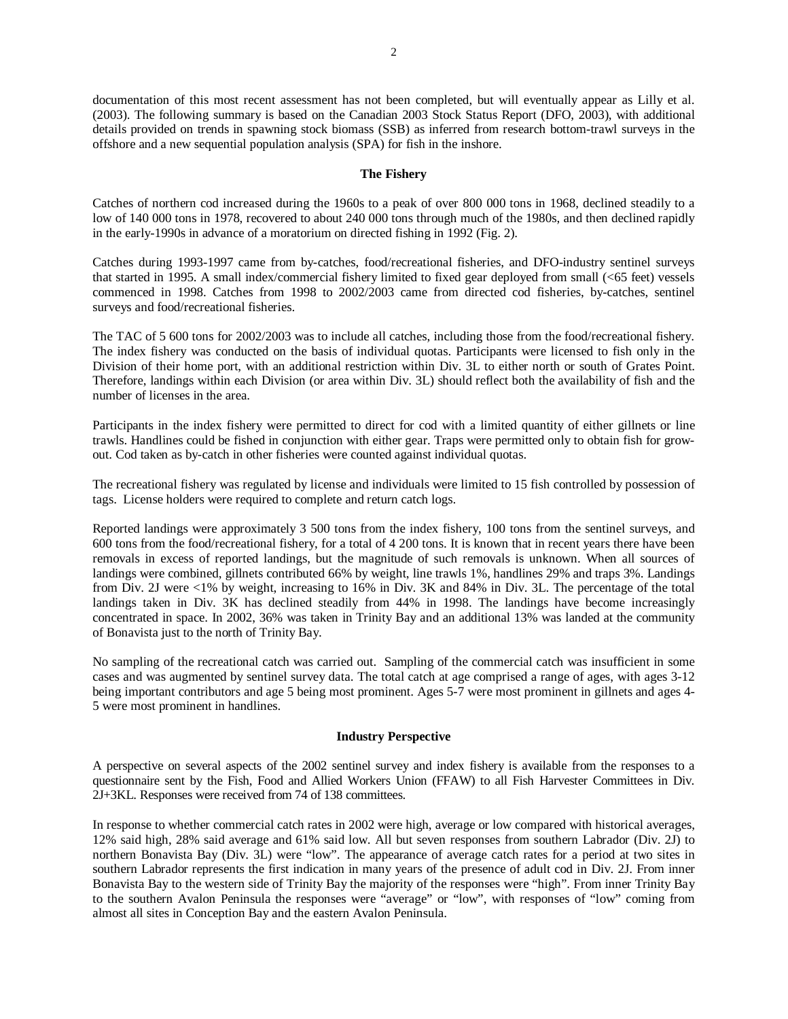documentation of this most recent assessment has not been completed, but will eventually appear as Lilly et al. (2003). The following summary is based on the Canadian 2003 Stock Status Report (DFO, 2003), with additional details provided on trends in spawning stock biomass (SSB) as inferred from research bottom-trawl surveys in the offshore and a new sequential population analysis (SPA) for fish in the inshore.

### **The Fishery**

Catches of northern cod increased during the 1960s to a peak of over 800 000 tons in 1968, declined steadily to a low of 140 000 tons in 1978, recovered to about 240 000 tons through much of the 1980s, and then declined rapidly in the early-1990s in advance of a moratorium on directed fishing in 1992 (Fig. 2).

Catches during 1993-1997 came from by-catches, food/recreational fisheries, and DFO-industry sentinel surveys that started in 1995. A small index/commercial fishery limited to fixed gear deployed from small (<65 feet) vessels commenced in 1998. Catches from 1998 to 2002/2003 came from directed cod fisheries, by-catches, sentinel surveys and food/recreational fisheries.

The TAC of 5 600 tons for 2002/2003 was to include all catches, including those from the food/recreational fishery. The index fishery was conducted on the basis of individual quotas. Participants were licensed to fish only in the Division of their home port, with an additional restriction within Div. 3L to either north or south of Grates Point. Therefore, landings within each Division (or area within Div. 3L) should reflect both the availability of fish and the number of licenses in the area.

Participants in the index fishery were permitted to direct for cod with a limited quantity of either gillnets or line trawls. Handlines could be fished in conjunction with either gear. Traps were permitted only to obtain fish for growout. Cod taken as by-catch in other fisheries were counted against individual quotas.

The recreational fishery was regulated by license and individuals were limited to 15 fish controlled by possession of tags. License holders were required to complete and return catch logs.

Reported landings were approximately 3 500 tons from the index fishery, 100 tons from the sentinel surveys, and 600 tons from the food/recreational fishery, for a total of 4 200 tons. It is known that in recent years there have been removals in excess of reported landings, but the magnitude of such removals is unknown. When all sources of landings were combined, gillnets contributed 66% by weight, line trawls 1%, handlines 29% and traps 3%. Landings from Div. 2J were <1% by weight, increasing to 16% in Div. 3K and 84% in Div. 3L. The percentage of the total landings taken in Div. 3K has declined steadily from 44% in 1998. The landings have become increasingly concentrated in space. In 2002, 36% was taken in Trinity Bay and an additional 13% was landed at the community of Bonavista just to the north of Trinity Bay.

No sampling of the recreational catch was carried out. Sampling of the commercial catch was insufficient in some cases and was augmented by sentinel survey data. The total catch at age comprised a range of ages, with ages 3-12 being important contributors and age 5 being most prominent. Ages 5-7 were most prominent in gillnets and ages 4-5 were most prominent in handlines.

## **Industry Perspective**

A perspective on several aspects of the 2002 sentinel survey and index fishery is available from the responses to a questionnaire sent by the Fish, Food and Allied Workers Union (FFAW) to all Fish Harvester Committees in Div. 2J+3KL. Responses were received from 74 of 138 committees.

In response to whether commercial catch rates in 2002 were high, average or low compared with historical averages, 12% said high, 28% said average and 61% said low. All but seven responses from southern Labrador (Div. 2J) to northern Bonavista Bay (Div. 3L) were "low". The appearance of average catch rates for a period at two sites in southern Labrador represents the first indication in many years of the presence of adult cod in Div. 2J. From inner Bonavista Bay to the western side of Trinity Bay the majority of the responses were "high". From inner Trinity Bay to the southern Avalon Peninsula the responses were "average" or "low", with responses of "low" coming from almost all sites in Conception Bay and the eastern Avalon Peninsula.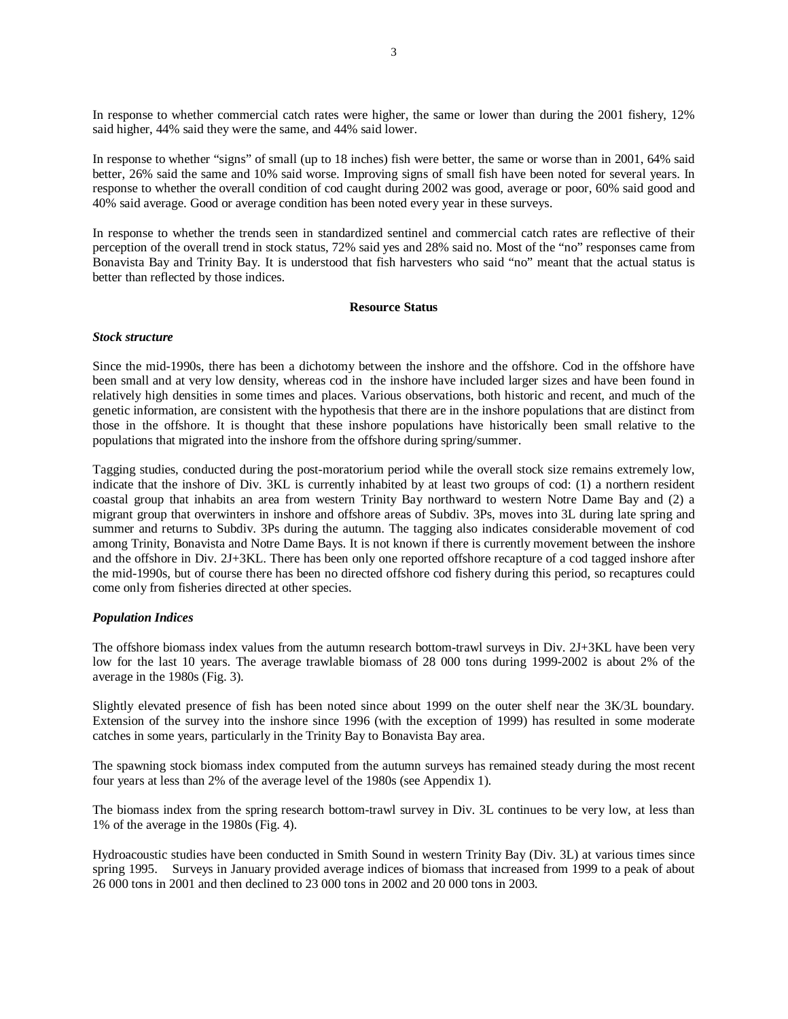In response to whether commercial catch rates were higher, the same or lower than during the 2001 fishery, 12% said higher, 44% said they were the same, and 44% said lower.

In response to whether "signs" of small (up to 18 inches) fish were better, the same or worse than in 2001, 64% said better, 26% said the same and 10% said worse. Improving signs of small fish have been noted for several years. In response to whether the overall condition of cod caught during 2002 was good, average or poor, 60% said good and 40% said average. Good or average condition has been noted every year in these surveys.

In response to whether the trends seen in standardized sentinel and commercial catch rates are reflective of their perception of the overall trend in stock status, 72% said yes and 28% said no. Most of the "no" responses came from Bonavista Bay and Trinity Bay. It is understood that fish harvesters who said "no" meant that the actual status is better than reflected by those indices.

## **Resource Status**

### *Stock structure*

Since the mid-1990s, there has been a dichotomy between the inshore and the offshore. Cod in the offshore have been small and at very low density, whereas cod in the inshore have included larger sizes and have been found in relatively high densities in some times and places. Various observations, both historic and recent, and much of the genetic information, are consistent with the hypothesis that there are in the inshore populations that are distinct from those in the offshore. It is thought that these inshore populations have historically been small relative to the populations that migrated into the inshore from the offshore during spring/summer.

Tagging studies, conducted during the post-moratorium period while the overall stock size remains extremely low, indicate that the inshore of Div. 3KL is currently inhabited by at least two groups of cod: (1) a northern resident coastal group that inhabits an area from western Trinity Bay northward to western Notre Dame Bay and (2) a migrant group that overwinters in inshore and offshore areas of Subdiv. 3Ps, moves into 3L during late spring and summer and returns to Subdiv. 3Ps during the autumn. The tagging also indicates considerable movement of cod among Trinity, Bonavista and Notre Dame Bays. It is not known if there is currently movement between the inshore and the offshore in Div. 2J+3KL. There has been only one reported offshore recapture of a cod tagged inshore after the mid-1990s, but of course there has been no directed offshore cod fishery during this period, so recaptures could come only from fisheries directed at other species.

#### *Population Indices*

The offshore biomass index values from the autumn research bottom-trawl surveys in Div. 2J+3KL have been very low for the last 10 years. The average trawlable biomass of 28 000 tons during 1999-2002 is about 2% of the average in the 1980s (Fig. 3).

Slightly elevated presence of fish has been noted since about 1999 on the outer shelf near the 3K/3L boundary. Extension of the survey into the inshore since 1996 (with the exception of 1999) has resulted in some moderate catches in some years, particularly in the Trinity Bay to Bonavista Bay area.

The spawning stock biomass index computed from the autumn surveys has remained steady during the most recent four years at less than 2% of the average level of the 1980s (see Appendix 1).

The biomass index from the spring research bottom-trawl survey in Div. 3L continues to be very low, at less than 1% of the average in the 1980s (Fig. 4).

Hydroacoustic studies have been conducted in Smith Sound in western Trinity Bay (Div. 3L) at various times since spring 1995. Surveys in January provided average indices of biomass that increased from 1999 to a peak of about 26 000 tons in 2001 and then declined to 23 000 tons in 2002 and 20 000 tons in 2003.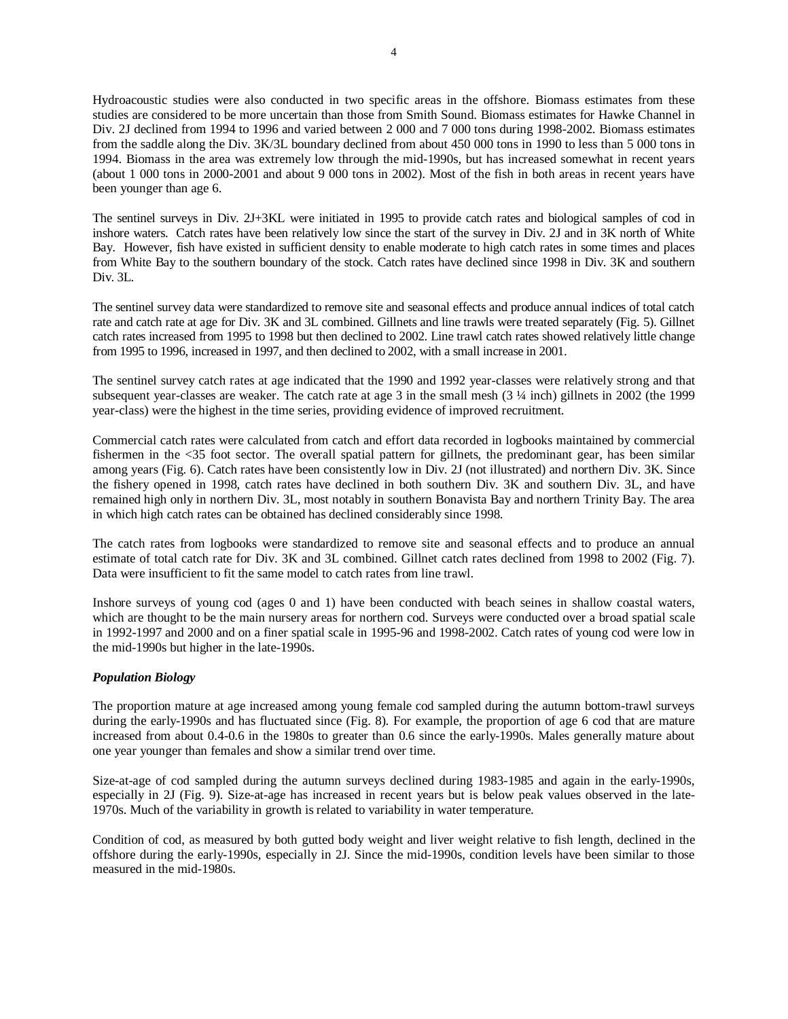Hydroacoustic studies were also conducted in two specific areas in the offshore. Biomass estimates from these studies are considered to be more uncertain than those from Smith Sound. Biomass estimates for Hawke Channel in Div. 2J declined from 1994 to 1996 and varied between 2 000 and 7 000 tons during 1998-2002. Biomass estimates from the saddle along the Div. 3K/3L boundary declined from about 450 000 tons in 1990 to less than 5 000 tons in 1994. Biomass in the area was extremely low through the mid-1990s, but has increased somewhat in recent years (about 1 000 tons in 2000-2001 and about 9 000 tons in 2002). Most of the fish in both areas in recent years have been younger than age 6.

The sentinel surveys in Div. 2J+3KL were initiated in 1995 to provide catch rates and biological samples of cod in inshore waters. Catch rates have been relatively low since the start of the survey in Div. 2J and in 3K north of White Bay. However, fish have existed in sufficient density to enable moderate to high catch rates in some times and places from White Bay to the southern boundary of the stock. Catch rates have declined since 1998 in Div. 3K and southern Div. 3L.

The sentinel survey data were standardized to remove site and seasonal effects and produce annual indices of total catch rate and catch rate at age for Div. 3K and 3L combined. Gillnets and line trawls were treated separately (Fig. 5). Gillnet catch rates increased from 1995 to 1998 but then declined to 2002. Line trawl catch rates showed relatively little change from 1995 to 1996, increased in 1997, and then declined to 2002, with a small increase in 2001.

The sentinel survey catch rates at age indicated that the 1990 and 1992 year-classes were relatively strong and that subsequent year-classes are weaker. The catch rate at age 3 in the small mesh (3 ¼ inch) gillnets in 2002 (the 1999 year-class) were the highest in the time series, providing evidence of improved recruitment.

Commercial catch rates were calculated from catch and effort data recorded in logbooks maintained by commercial fishermen in the <35 foot sector. The overall spatial pattern for gillnets, the predominant gear, has been similar among years (Fig. 6). Catch rates have been consistently low in Div. 2J (not illustrated) and northern Div. 3K. Since the fishery opened in 1998, catch rates have declined in both southern Div. 3K and southern Div. 3L, and have remained high only in northern Div. 3L, most notably in southern Bonavista Bay and northern Trinity Bay. The area in which high catch rates can be obtained has declined considerably since 1998.

The catch rates from logbooks were standardized to remove site and seasonal effects and to produce an annual estimate of total catch rate for Div. 3K and 3L combined. Gillnet catch rates declined from 1998 to 2002 (Fig. 7). Data were insufficient to fit the same model to catch rates from line trawl.

Inshore surveys of young cod (ages 0 and 1) have been conducted with beach seines in shallow coastal waters, which are thought to be the main nursery areas for northern cod. Surveys were conducted over a broad spatial scale in 1992-1997 and 2000 and on a finer spatial scale in 1995-96 and 1998-2002. Catch rates of young cod were low in the mid-1990s but higher in the late-1990s.

# *Population Biology*

The proportion mature at age increased among young female cod sampled during the autumn bottom-trawl surveys during the early-1990s and has fluctuated since (Fig. 8). For example, the proportion of age 6 cod that are mature increased from about 0.4-0.6 in the 1980s to greater than 0.6 since the early-1990s. Males generally mature about one year younger than females and show a similar trend over time.

Size-at-age of cod sampled during the autumn surveys declined during 1983-1985 and again in the early-1990s, especially in 2J (Fig. 9). Size-at-age has increased in recent years but is below peak values observed in the late-1970s. Much of the variability in growth is related to variability in water temperature.

Condition of cod, as measured by both gutted body weight and liver weight relative to fish length, declined in the offshore during the early-1990s, especially in 2J. Since the mid-1990s, condition levels have been similar to those measured in the mid-1980s.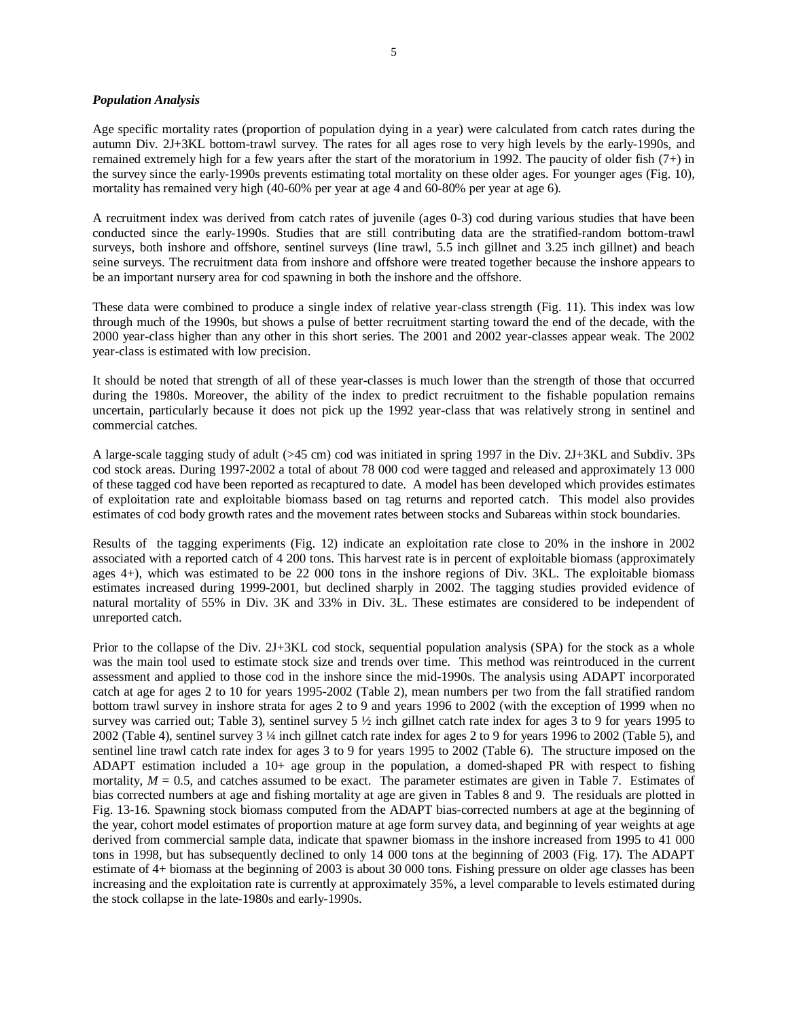### *Population Analysis*

Age specific mortality rates (proportion of population dying in a year) were calculated from catch rates during the autumn Div. 2J+3KL bottom-trawl survey. The rates for all ages rose to very high levels by the early-1990s, and remained extremely high for a few years after the start of the moratorium in 1992. The paucity of older fish (7+) in the survey since the early-1990s prevents estimating total mortality on these older ages. For younger ages (Fig. 10), mortality has remained very high (40-60% per year at age 4 and 60-80% per year at age 6).

A recruitment index was derived from catch rates of juvenile (ages 0-3) cod during various studies that have been conducted since the early-1990s. Studies that are still contributing data are the stratified-random bottom-trawl surveys, both inshore and offshore, sentinel surveys (line trawl, 5.5 inch gillnet and 3.25 inch gillnet) and beach seine surveys. The recruitment data from inshore and offshore were treated together because the inshore appears to be an important nursery area for cod spawning in both the inshore and the offshore.

These data were combined to produce a single index of relative year-class strength (Fig. 11). This index was low through much of the 1990s, but shows a pulse of better recruitment starting toward the end of the decade, with the 2000 year-class higher than any other in this short series. The 2001 and 2002 year-classes appear weak. The 2002 year-class is estimated with low precision.

It should be noted that strength of all of these year-classes is much lower than the strength of those that occurred during the 1980s. Moreover, the ability of the index to predict recruitment to the fishable population remains uncertain, particularly because it does not pick up the 1992 year-class that was relatively strong in sentinel and commercial catches.

A large-scale tagging study of adult (>45 cm) cod was initiated in spring 1997 in the Div. 2J+3KL and Subdiv. 3Ps cod stock areas. During 1997-2002 a total of about 78 000 cod were tagged and released and approximately 13 000 of these tagged cod have been reported as recaptured to date. A model has been developed which provides estimates of exploitation rate and exploitable biomass based on tag returns and reported catch. This model also provides estimates of cod body growth rates and the movement rates between stocks and Subareas within stock boundaries.

Results of the tagging experiments (Fig. 12) indicate an exploitation rate close to 20% in the inshore in 2002 associated with a reported catch of 4 200 tons. This harvest rate is in percent of exploitable biomass (approximately ages 4+), which was estimated to be 22 000 tons in the inshore regions of Div. 3KL. The exploitable biomass estimates increased during 1999-2001, but declined sharply in 2002. The tagging studies provided evidence of natural mortality of 55% in Div. 3K and 33% in Div. 3L. These estimates are considered to be independent of unreported catch.

Prior to the collapse of the Div. 2J+3KL cod stock, sequential population analysis (SPA) for the stock as a whole was the main tool used to estimate stock size and trends over time. This method was reintroduced in the current assessment and applied to those cod in the inshore since the mid-1990s. The analysis using ADAPT incorporated catch at age for ages 2 to 10 for years 1995-2002 (Table 2), mean numbers per two from the fall stratified random bottom trawl survey in inshore strata for ages 2 to 9 and years 1996 to 2002 (with the exception of 1999 when no survey was carried out; Table 3), sentinel survey 5 ½ inch gillnet catch rate index for ages 3 to 9 for years 1995 to 2002 (Table 4), sentinel survey 3 ¼ inch gillnet catch rate index for ages 2 to 9 for years 1996 to 2002 (Table 5), and sentinel line trawl catch rate index for ages 3 to 9 for years 1995 to 2002 (Table 6). The structure imposed on the ADAPT estimation included a 10+ age group in the population, a domed-shaped PR with respect to fishing mortality,  $M = 0.5$ , and catches assumed to be exact. The parameter estimates are given in Table 7. Estimates of bias corrected numbers at age and fishing mortality at age are given in Tables 8 and 9. The residuals are plotted in Fig. 13-16. Spawning stock biomass computed from the ADAPT bias-corrected numbers at age at the beginning of the year, cohort model estimates of proportion mature at age form survey data, and beginning of year weights at age derived from commercial sample data, indicate that spawner biomass in the inshore increased from 1995 to 41 000 tons in 1998, but has subsequently declined to only 14 000 tons at the beginning of 2003 (Fig. 17). The ADAPT estimate of 4+ biomass at the beginning of 2003 is about 30 000 tons. Fishing pressure on older age classes has been increasing and the exploitation rate is currently at approximately 35%, a level comparable to levels estimated during the stock collapse in the late-1980s and early-1990s.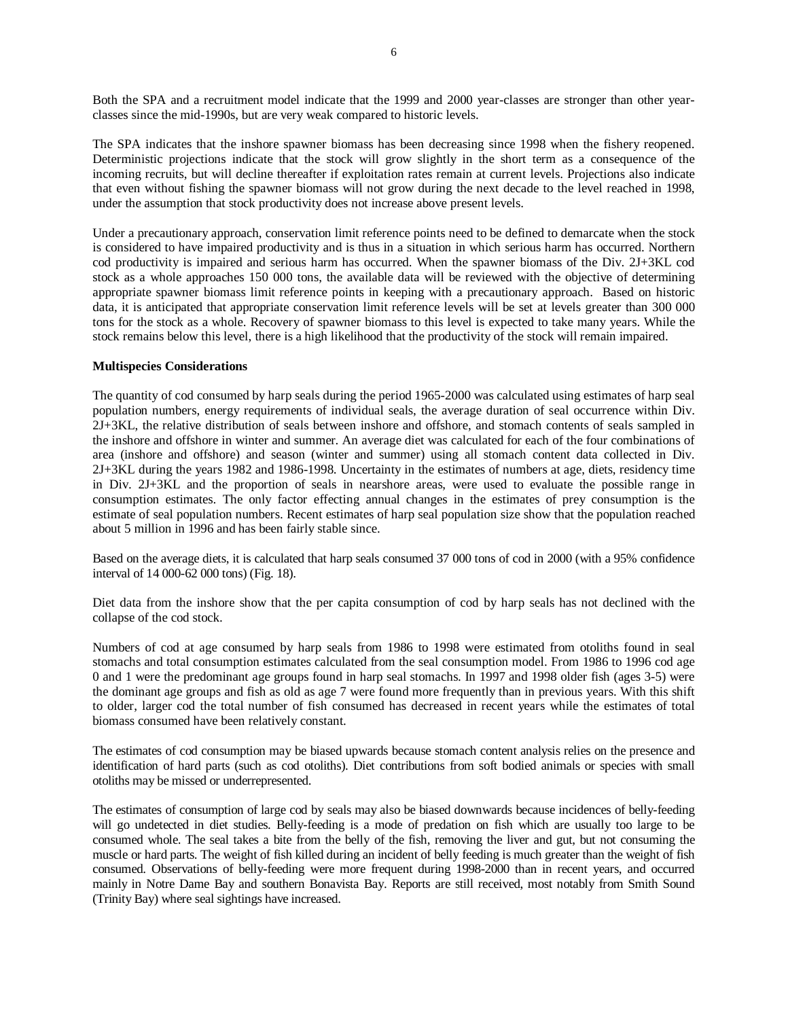Both the SPA and a recruitment model indicate that the 1999 and 2000 year-classes are stronger than other yearclasses since the mid-1990s, but are very weak compared to historic levels.

The SPA indicates that the inshore spawner biomass has been decreasing since 1998 when the fishery reopened. Deterministic projections indicate that the stock will grow slightly in the short term as a consequence of the incoming recruits, but will decline thereafter if exploitation rates remain at current levels. Projections also indicate that even without fishing the spawner biomass will not grow during the next decade to the level reached in 1998, under the assumption that stock productivity does not increase above present levels.

Under a precautionary approach, conservation limit reference points need to be defined to demarcate when the stock is considered to have impaired productivity and is thus in a situation in which serious harm has occurred. Northern cod productivity is impaired and serious harm has occurred. When the spawner biomass of the Div. 2J+3KL cod stock as a whole approaches 150 000 tons, the available data will be reviewed with the objective of determining appropriate spawner biomass limit reference points in keeping with a precautionary approach. Based on historic data, it is anticipated that appropriate conservation limit reference levels will be set at levels greater than 300 000 tons for the stock as a whole. Recovery of spawner biomass to this level is expected to take many years. While the stock remains below this level, there is a high likelihood that the productivity of the stock will remain impaired.

## **Multispecies Considerations**

The quantity of cod consumed by harp seals during the period 1965-2000 was calculated using estimates of harp seal population numbers, energy requirements of individual seals, the average duration of seal occurrence within Div. 2J+3KL, the relative distribution of seals between inshore and offshore, and stomach contents of seals sampled in the inshore and offshore in winter and summer. An average diet was calculated for each of the four combinations of area (inshore and offshore) and season (winter and summer) using all stomach content data collected in Div. 2J+3KL during the years 1982 and 1986-1998. Uncertainty in the estimates of numbers at age, diets, residency time in Div. 2J+3KL and the proportion of seals in nearshore areas, were used to evaluate the possible range in consumption estimates. The only factor effecting annual changes in the estimates of prey consumption is the estimate of seal population numbers. Recent estimates of harp seal population size show that the population reached about 5 million in 1996 and has been fairly stable since.

Based on the average diets, it is calculated that harp seals consumed 37 000 tons of cod in 2000 (with a 95% confidence interval of 14 000-62 000 tons) (Fig. 18).

Diet data from the inshore show that the per capita consumption of cod by harp seals has not declined with the collapse of the cod stock.

Numbers of cod at age consumed by harp seals from 1986 to 1998 were estimated from otoliths found in seal stomachs and total consumption estimates calculated from the seal consumption model. From 1986 to 1996 cod age 0 and 1 were the predominant age groups found in harp seal stomachs. In 1997 and 1998 older fish (ages 3-5) were the dominant age groups and fish as old as age 7 were found more frequently than in previous years. With this shift to older, larger cod the total number of fish consumed has decreased in recent years while the estimates of total biomass consumed have been relatively constant.

The estimates of cod consumption may be biased upwards because stomach content analysis relies on the presence and identification of hard parts (such as cod otoliths). Diet contributions from soft bodied animals or species with small otoliths may be missed or underrepresented.

The estimates of consumption of large cod by seals may also be biased downwards because incidences of belly-feeding will go undetected in diet studies. Belly-feeding is a mode of predation on fish which are usually too large to be consumed whole. The seal takes a bite from the belly of the fish, removing the liver and gut, but not consuming the muscle or hard parts. The weight of fish killed during an incident of belly feeding is much greater than the weight of fish consumed. Observations of belly-feeding were more frequent during 1998-2000 than in recent years, and occurred mainly in Notre Dame Bay and southern Bonavista Bay. Reports are still received, most notably from Smith Sound (Trinity Bay) where seal sightings have increased.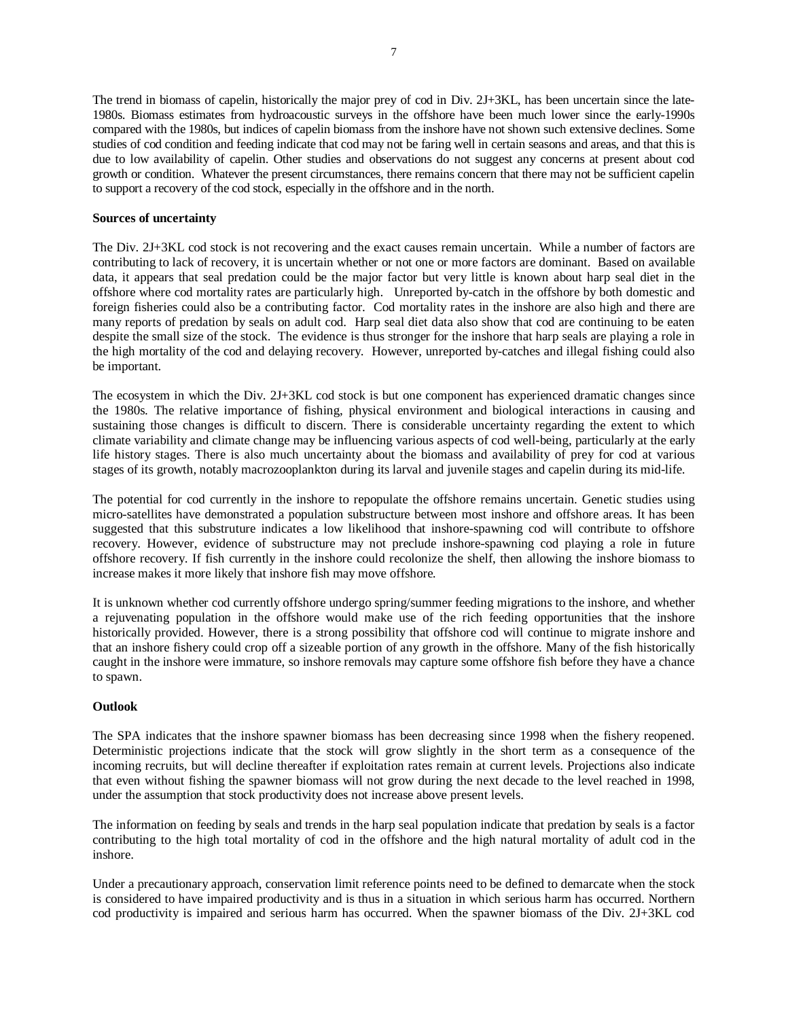The trend in biomass of capelin, historically the major prey of cod in Div. 2J+3KL, has been uncertain since the late-1980s. Biomass estimates from hydroacoustic surveys in the offshore have been much lower since the early-1990s compared with the 1980s, but indices of capelin biomass from the inshore have not shown such extensive declines. Some studies of cod condition and feeding indicate that cod may not be faring well in certain seasons and areas, and that this is due to low availability of capelin. Other studies and observations do not suggest any concerns at present about cod growth or condition. Whatever the present circumstances, there remains concern that there may not be sufficient capelin to support a recovery of the cod stock, especially in the offshore and in the north.

## **Sources of uncertainty**

The Div. 2J+3KL cod stock is not recovering and the exact causes remain uncertain. While a number of factors are contributing to lack of recovery, it is uncertain whether or not one or more factors are dominant. Based on available data, it appears that seal predation could be the major factor but very little is known about harp seal diet in the offshore where cod mortality rates are particularly high. Unreported by-catch in the offshore by both domestic and foreign fisheries could also be a contributing factor. Cod mortality rates in the inshore are also high and there are many reports of predation by seals on adult cod. Harp seal diet data also show that cod are continuing to be eaten despite the small size of the stock. The evidence is thus stronger for the inshore that harp seals are playing a role in the high mortality of the cod and delaying recovery. However, unreported by-catches and illegal fishing could also be important.

The ecosystem in which the Div. 2J+3KL cod stock is but one component has experienced dramatic changes since the 1980s. The relative importance of fishing, physical environment and biological interactions in causing and sustaining those changes is difficult to discern. There is considerable uncertainty regarding the extent to which climate variability and climate change may be influencing various aspects of cod well-being, particularly at the early life history stages. There is also much uncertainty about the biomass and availability of prey for cod at various stages of its growth, notably macrozooplankton during its larval and juvenile stages and capelin during its mid-life.

The potential for cod currently in the inshore to repopulate the offshore remains uncertain. Genetic studies using micro-satellites have demonstrated a population substructure between most inshore and offshore areas. It has been suggested that this substruture indicates a low likelihood that inshore-spawning cod will contribute to offshore recovery. However, evidence of substructure may not preclude inshore-spawning cod playing a role in future offshore recovery. If fish currently in the inshore could recolonize the shelf, then allowing the inshore biomass to increase makes it more likely that inshore fish may move offshore*.* 

It is unknown whether cod currently offshore undergo spring/summer feeding migrations to the inshore, and whether a rejuvenating population in the offshore would make use of the rich feeding opportunities that the inshore historically provided. However, there is a strong possibility that offshore cod will continue to migrate inshore and that an inshore fishery could crop off a sizeable portion of any growth in the offshore. Many of the fish historically caught in the inshore were immature, so inshore removals may capture some offshore fish before they have a chance to spawn.

## **Outlook**

The SPA indicates that the inshore spawner biomass has been decreasing since 1998 when the fishery reopened. Deterministic projections indicate that the stock will grow slightly in the short term as a consequence of the incoming recruits, but will decline thereafter if exploitation rates remain at current levels. Projections also indicate that even without fishing the spawner biomass will not grow during the next decade to the level reached in 1998, under the assumption that stock productivity does not increase above present levels.

The information on feeding by seals and trends in the harp seal population indicate that predation by seals is a factor contributing to the high total mortality of cod in the offshore and the high natural mortality of adult cod in the inshore.

Under a precautionary approach, conservation limit reference points need to be defined to demarcate when the stock is considered to have impaired productivity and is thus in a situation in which serious harm has occurred. Northern cod productivity is impaired and serious harm has occurred. When the spawner biomass of the Div. 2J+3KL cod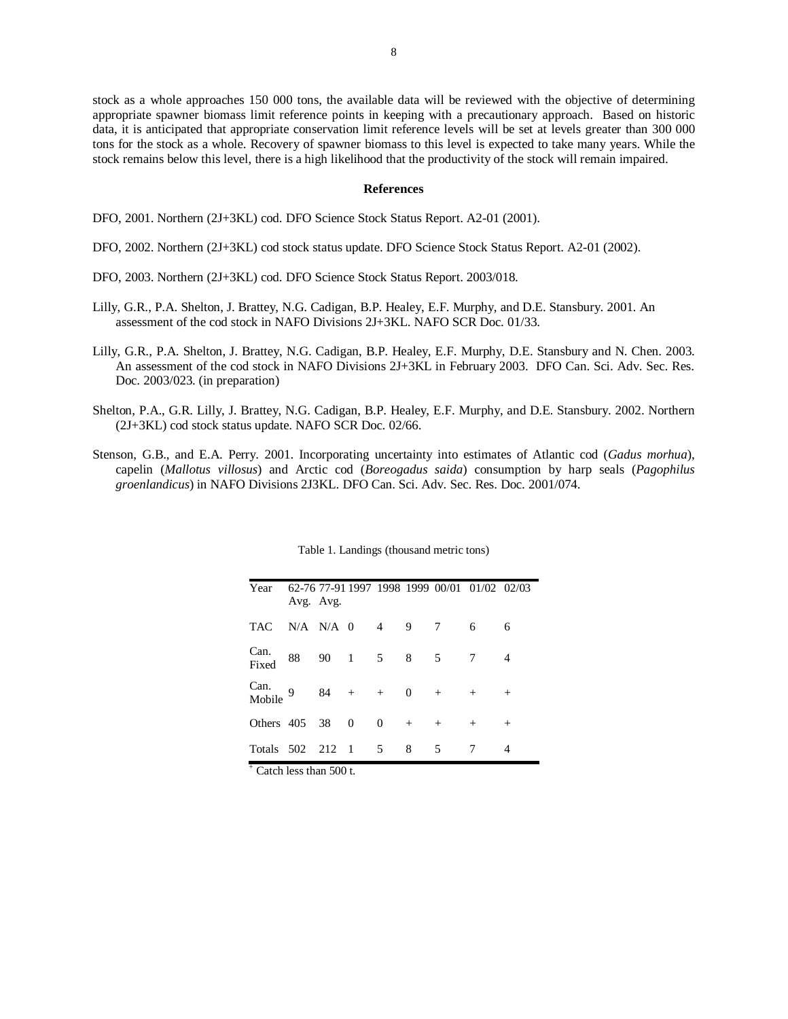stock as a whole approaches 150 000 tons, the available data will be reviewed with the objective of determining appropriate spawner biomass limit reference points in keeping with a precautionary approach. Based on historic data, it is anticipated that appropriate conservation limit reference levels will be set at levels greater than 300 000 tons for the stock as a whole. Recovery of spawner biomass to this level is expected to take many years. While the stock remains below this level, there is a high likelihood that the productivity of the stock will remain impaired.

#### **References**

DFO, 2001. Northern (2J+3KL) cod. DFO Science Stock Status Report. A2-01 (2001).

DFO, 2002. Northern (2J+3KL) cod stock status update. DFO Science Stock Status Report. A2-01 (2002).

- DFO, 2003. Northern (2J+3KL) cod. DFO Science Stock Status Report. 2003/018.
- Lilly, G.R., P.A. Shelton, J. Brattey, N.G. Cadigan, B.P. Healey, E.F. Murphy, and D.E. Stansbury. 2001. An assessment of the cod stock in NAFO Divisions 2J+3KL. NAFO SCR Doc. 01/33.
- Lilly, G.R., P.A. Shelton, J. Brattey, N.G. Cadigan, B.P. Healey, E.F. Murphy, D.E. Stansbury and N. Chen. 2003. An assessment of the cod stock in NAFO Divisions 2J+3KL in February 2003. DFO Can. Sci. Adv. Sec. Res. Doc. 2003/023. (in preparation)
- Shelton, P.A., G.R. Lilly, J. Brattey, N.G. Cadigan, B.P. Healey, E.F. Murphy, and D.E. Stansbury. 2002. Northern (2J+3KL) cod stock status update. NAFO SCR Doc. 02/66.
- Stenson, G.B., and E.A. Perry. 2001. Incorporating uncertainty into estimates of Atlantic cod (*Gadus morhua*), capelin (*Mallotus villosus*) and Arctic cod (*Boreogadus saida*) consumption by harp seals (*Pagophilus groenlandicus*) in NAFO Divisions 2J3KL. DFO Can. Sci. Adv. Sec. Res. Doc. 2001/074.

| Year           | Avg. Avg.         |                                  |                |             |        | 62-76 77-91 1997 1998 1999 00/01 01/02 02/03 |        |
|----------------|-------------------|----------------------------------|----------------|-------------|--------|----------------------------------------------|--------|
| TAC.           | $N/A$ $N/A$ 0     | $\overline{4}$                   | $\overline{9}$ | 7           |        | 6                                            | 6      |
| Can.<br>Fixed  | 88                | 90 1 5 8                         |                | $5^{\circ}$ |        | 7                                            |        |
| Can.<br>Mobile | $9 \t 84 + + 0 +$ |                                  |                |             |        | $^{+}$                                       | $^{+}$ |
| Others 405 38  |                   | $\Omega$<br>$\overline{0}$       |                | $+$         | $^{+}$ | $^{+}$                                       | $^{+}$ |
| Totals 502 212 |                   | $\overline{5}$<br>$\overline{1}$ |                | 8           | 5      |                                              | 4      |

Table 1. Landings (thousand metric tons)

+ Catch less than 500 t.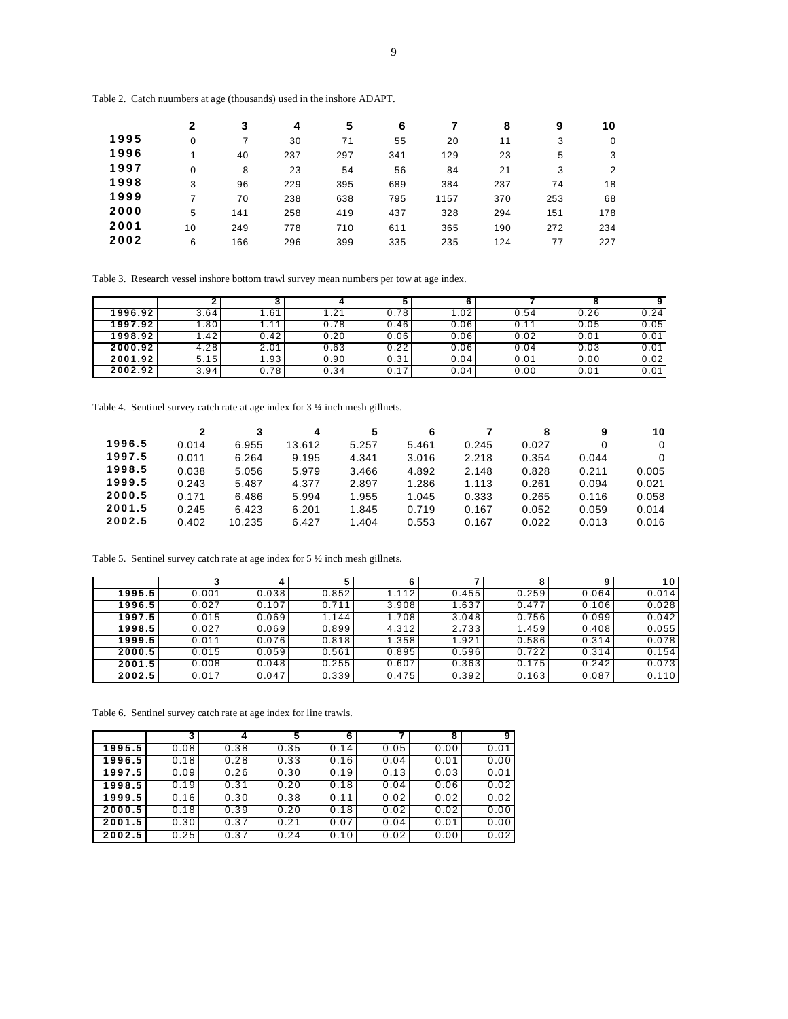Table 2. Catch nuumbers at age (thousands) used in the inshore ADAPT.

|      | $\mathbf{2}$ | 3   | 4   | 5   | 6   |      | 8   | 9   | 10  |
|------|--------------|-----|-----|-----|-----|------|-----|-----|-----|
| 1995 | 0            | 7   | 30  | 71  | 55  | 20   | 11  | 3   | 0   |
| 1996 |              | 40  | 237 | 297 | 341 | 129  | 23  | 5   | 3   |
| 1997 | 0            | 8   | 23  | 54  | 56  | 84   | 21  | 3   | 2   |
| 1998 | 3            | 96  | 229 | 395 | 689 | 384  | 237 | 74  | 18  |
| 1999 | 7            | 70  | 238 | 638 | 795 | 1157 | 370 | 253 | 68  |
| 2000 | 5            | 141 | 258 | 419 | 437 | 328  | 294 | 151 | 178 |
| 2001 | 10           | 249 | 778 | 710 | 611 | 365  | 190 | 272 | 234 |
| 2002 | 6            | 166 | 296 | 399 | 335 | 235  | 124 | 77  | 227 |

Table 3. Research vessel inshore bottom trawl survey mean numbers per tow at age index.

|         |      |        |      |      |      |      |      | 9    |
|---------|------|--------|------|------|------|------|------|------|
| 1996.92 | 3.64 | . . 61 | .21  | 0.78 | 1.02 | 0.54 | 0.26 | 0.24 |
| 1997.92 | .80  |        | 0.78 | 0.46 | 0.06 | 0.11 | 0.05 | 0.05 |
| 1998.92 | .42  | 0.42   | 0.20 | 0.06 | 0.06 | 0.02 | 0.01 | 0.01 |
| 2000.92 | 4.28 | 2.01   | 0.63 | 0.22 | 0.06 | 0.04 | 0.03 | 0.01 |
| 2001.92 | 5.15 | 1.93   | 0.90 | 0.31 | 0.04 | 0.01 | 0.00 | 0.02 |
| 2002.92 | 3.94 | 0.78   | 0.34 | 0.17 | 0.04 | 0.00 | 0.01 | 0.01 |

Table 4. Sentinel survey catch rate at age index for 3 ¼ inch mesh gillnets.

|        |       | 3      | 4      | 5     | 6     |       | 8     | 9     | 10       |
|--------|-------|--------|--------|-------|-------|-------|-------|-------|----------|
| 1996.5 | 0.014 | 6.955  | 13.612 | 5.257 | 5.461 | 0.245 | 0.027 | 0     | $\Omega$ |
| 1997.5 | 0.011 | 6.264  | 9.195  | 4.341 | 3.016 | 2.218 | 0.354 | 0.044 | 0        |
| 1998.5 | 0.038 | 5.056  | 5.979  | 3.466 | 4.892 | 2.148 | 0.828 | 0.211 | 0.005    |
| 1999.5 | 0.243 | 5.487  | 4.377  | 2.897 | 1.286 | 1.113 | 0.261 | 0.094 | 0.021    |
| 2000.5 | 0.171 | 6.486  | 5.994  | 1.955 | 1.045 | 0.333 | 0.265 | 0.116 | 0.058    |
| 2001.5 | 0.245 | 6.423  | 6.201  | 1.845 | 0.719 | 0.167 | 0.052 | 0.059 | 0.014    |
| 2002.5 | 0.402 | 10.235 | 6.427  | 1.404 | 0.553 | 0.167 | 0.022 | 0.013 | 0.016    |

Table 5. Sentinel survey catch rate at age index for 5 ½ inch mesh gillnets.

|        |       |       |       |       |       |       |       | 10    |
|--------|-------|-------|-------|-------|-------|-------|-------|-------|
| 1995.5 | 0.001 | 0.038 | 0.852 | 1.112 | 0.455 | 0.259 | 0.064 | 0.014 |
| 1996.5 | 0.027 | 0.107 | 0.711 | 3.908 | 1.637 | 0.477 | 0.106 | 0.028 |
| 1997.5 | 0.015 | 0.069 | 1.144 | 1.708 | 3.048 | 0.756 | 0.099 | 0.042 |
| 1998.5 | 0.027 | 0.069 | 0.899 | 4.312 | 2.733 | 1.459 | 0.408 | 0.055 |
| 1999.5 | 0.011 | 0.076 | 0.818 | 1.358 | 1.921 | 0.586 | 0.314 | 0.078 |
| 2000.5 | 0.015 | 0.059 | 0.561 | 0.895 | 0.596 | 0.722 | 0.314 | 0.154 |
| 2001.5 | 0.008 | 0.048 | 0.255 | 0.607 | 0.363 | 0.175 | 0.242 | 0.073 |
| 2002.5 | 0.017 | 0.047 | 0.339 | 0.475 | 0.392 | 0.163 | 0.087 | 0.110 |

Table 6. Sentinel survey catch rate at age index for line trawls.

|        | 3    |      | 5    | 6    |      | 8    | 9    |
|--------|------|------|------|------|------|------|------|
| 1995.5 | 0.08 | 0.38 | 0.35 | 0.14 | 0.05 | 0.00 | 0.01 |
| 1996.5 | 0.18 | 0.28 | 0.33 | 0.16 | 0.04 | 0.01 | 0.00 |
| 1997.5 | 0.09 | 0.26 | 0.30 | 0.19 | 0.13 | 0.03 | 0.01 |
| 1998.5 | 0.19 | 0.31 | 0.20 | 0.18 | 0.04 | 0.06 | 0.02 |
| 1999.5 | 0.16 | 0.30 | 0.38 | 0.11 | 0.02 | 0.02 | 0.02 |
| 2000.5 | 0.18 | 0.39 | 0.20 | 0.18 | 0.02 | 0.02 | 0.00 |
| 2001.5 | 0.30 | 0.37 | 0.21 | 0.07 | 0.04 | 0.01 | 0.00 |
| 2002.5 | 0.25 | 0.37 | 0.24 | 0.10 | 0.02 | 0.00 | 0.02 |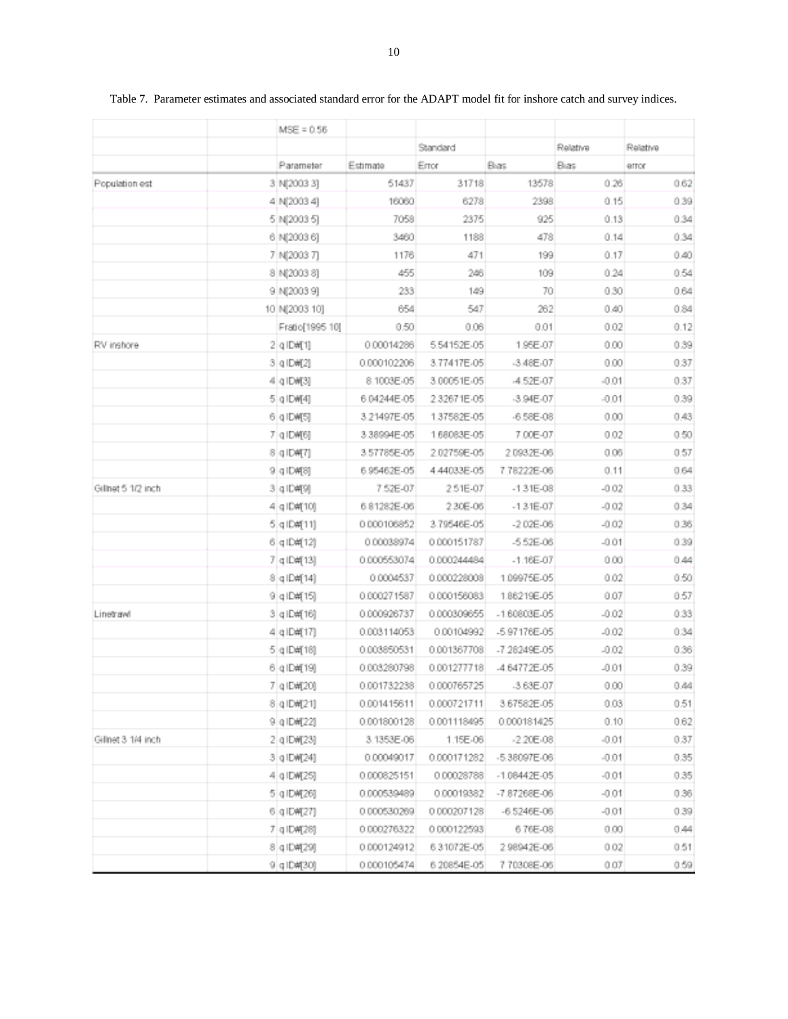|                    | $MSE = 0.56$    |             |                                                                                                                                                                                                                                                                                                                                                                                                                                                                                                                                                                                                                                                                                                                                                                                                                                                                                                                                                                                                                                                                                                                                                                                              |             |          |          |
|--------------------|-----------------|-------------|----------------------------------------------------------------------------------------------------------------------------------------------------------------------------------------------------------------------------------------------------------------------------------------------------------------------------------------------------------------------------------------------------------------------------------------------------------------------------------------------------------------------------------------------------------------------------------------------------------------------------------------------------------------------------------------------------------------------------------------------------------------------------------------------------------------------------------------------------------------------------------------------------------------------------------------------------------------------------------------------------------------------------------------------------------------------------------------------------------------------------------------------------------------------------------------------|-------------|----------|----------|
|                    |                 |             | Standard                                                                                                                                                                                                                                                                                                                                                                                                                                                                                                                                                                                                                                                                                                                                                                                                                                                                                                                                                                                                                                                                                                                                                                                     |             | Relative | Relative |
|                    | Parameter       | Estimate    | Error                                                                                                                                                                                                                                                                                                                                                                                                                                                                                                                                                                                                                                                                                                                                                                                                                                                                                                                                                                                                                                                                                                                                                                                        | Bias        | Bias     | error    |
| Population est     | 3 N(2003 3)     |             | 31718<br>13578<br>51437<br>6278<br>16060<br>2398<br>7058<br>2375<br>925<br>3460<br>1188<br>478<br>471<br>1176<br>199<br>455<br>246<br>109<br>233<br>149<br>70<br>547<br>654<br>262<br>0.50<br>0.06<br>0.01<br>1.95E-07<br>0.00014286<br>5.54152E-05<br>3.77417E-05<br>$-3.48E - 07$<br>8.1003E-05<br>3.00051E-05<br>-4.52E-07<br>2.32671E-05<br>$-3.94E - 07$<br>1.37582E-05<br>$-6.58E - 08$<br>1,68083E-05<br>7.00E-07<br>2.02759E-05<br>2.0932E-06<br>4.44033E-05<br>7.78222E-06<br>7.52E-07<br>251E-07<br>$-1.31E-0.8$<br>230E-06<br>$-1.31E - 07$<br>3.79546E-05<br>$-2.02E - 06$<br>0.00038974<br>0.000151787<br>$-552E-06$<br>0.000244484<br>$-1.16E - 07$<br>0.0004537<br>1.09975E-05<br>0.000228008<br>1.86219E-05<br>0.000156083<br>0.000309655<br>$-1.60603E-05$<br>0.00104992<br>-5.97176E-05<br>-7.28249E-05<br>0.001367708<br>-4.64772E-05<br>0.001277718<br>0.000765725<br>-3.63E-07<br>0.000721711<br>3.67582E-05<br>0.001118495<br>0.000181425<br>3.1353E-06<br>1.15E-06<br>$-2.20E - 08$<br>0.00049017<br>0.000171282<br>$-5.38097E - 06$<br>$-1.08442E - 05$<br>0.00028788<br>0.00019382<br>$-7.87268E - 06$<br>0.000207128<br>$-6.5246E - 06$<br>0.000122593<br>6.76E-08 | 0.26        | 0.62     |          |
|                    | 4 N(2003 4)     |             |                                                                                                                                                                                                                                                                                                                                                                                                                                                                                                                                                                                                                                                                                                                                                                                                                                                                                                                                                                                                                                                                                                                                                                                              |             | 0.15     | 0.39     |
|                    | 5 N(2003 5)     |             |                                                                                                                                                                                                                                                                                                                                                                                                                                                                                                                                                                                                                                                                                                                                                                                                                                                                                                                                                                                                                                                                                                                                                                                              |             | 0.13     | 0.34     |
|                    | 6 N(2003 6)     |             |                                                                                                                                                                                                                                                                                                                                                                                                                                                                                                                                                                                                                                                                                                                                                                                                                                                                                                                                                                                                                                                                                                                                                                                              |             | 0.14     | 0.34     |
|                    | 7 N(2003 7)     |             |                                                                                                                                                                                                                                                                                                                                                                                                                                                                                                                                                                                                                                                                                                                                                                                                                                                                                                                                                                                                                                                                                                                                                                                              |             | 0.17     | 0.40     |
|                    | 8 N(2003 8)     |             |                                                                                                                                                                                                                                                                                                                                                                                                                                                                                                                                                                                                                                                                                                                                                                                                                                                                                                                                                                                                                                                                                                                                                                                              |             | 0.24     | 0.54     |
|                    | 9 N(2003 9)     |             |                                                                                                                                                                                                                                                                                                                                                                                                                                                                                                                                                                                                                                                                                                                                                                                                                                                                                                                                                                                                                                                                                                                                                                                              |             | 0.30     | 0.64     |
|                    | 10 N(2003 10)   |             |                                                                                                                                                                                                                                                                                                                                                                                                                                                                                                                                                                                                                                                                                                                                                                                                                                                                                                                                                                                                                                                                                                                                                                                              |             | 0.40     | 0.84     |
|                    | Fratio[1995 10] |             |                                                                                                                                                                                                                                                                                                                                                                                                                                                                                                                                                                                                                                                                                                                                                                                                                                                                                                                                                                                                                                                                                                                                                                                              |             | 0.02     | 0.12     |
| RV inshore         | 2 q IDH[1]      |             |                                                                                                                                                                                                                                                                                                                                                                                                                                                                                                                                                                                                                                                                                                                                                                                                                                                                                                                                                                                                                                                                                                                                                                                              |             | 0.00     | 0.39     |
|                    | 3 q ID#[2]      | 0.000102206 |                                                                                                                                                                                                                                                                                                                                                                                                                                                                                                                                                                                                                                                                                                                                                                                                                                                                                                                                                                                                                                                                                                                                                                                              |             | 0.00     | 0.37     |
|                    | 4 g IDW[3]      |             |                                                                                                                                                                                                                                                                                                                                                                                                                                                                                                                                                                                                                                                                                                                                                                                                                                                                                                                                                                                                                                                                                                                                                                                              |             | $-0.01$  | 0.37     |
|                    | 5 g IDW[4]      | 6.04244E-05 |                                                                                                                                                                                                                                                                                                                                                                                                                                                                                                                                                                                                                                                                                                                                                                                                                                                                                                                                                                                                                                                                                                                                                                                              |             | $-0.01$  | 0.39     |
|                    | 6 q IDM[5]      | 3.21497E-05 |                                                                                                                                                                                                                                                                                                                                                                                                                                                                                                                                                                                                                                                                                                                                                                                                                                                                                                                                                                                                                                                                                                                                                                                              |             | 0.00     | 0.43     |
|                    | 7 q IDM[6]      | 3.38994E-05 |                                                                                                                                                                                                                                                                                                                                                                                                                                                                                                                                                                                                                                                                                                                                                                                                                                                                                                                                                                                                                                                                                                                                                                                              |             | 0.02     | 0.50     |
|                    | 8 q ID#[7]      | 3.57785E-05 |                                                                                                                                                                                                                                                                                                                                                                                                                                                                                                                                                                                                                                                                                                                                                                                                                                                                                                                                                                                                                                                                                                                                                                                              |             | 0.06     | 0.57     |
|                    | 9 q ID#[8]      | 6.95462E-05 |                                                                                                                                                                                                                                                                                                                                                                                                                                                                                                                                                                                                                                                                                                                                                                                                                                                                                                                                                                                                                                                                                                                                                                                              |             | 0.11     | 0.64     |
| Gillnet 5 1/2 inch | 3 g ID闸9]       |             |                                                                                                                                                                                                                                                                                                                                                                                                                                                                                                                                                                                                                                                                                                                                                                                                                                                                                                                                                                                                                                                                                                                                                                                              |             | $-0.02$  | 0.33     |
|                    | 4 gID#[10]      | 6.81282E-06 |                                                                                                                                                                                                                                                                                                                                                                                                                                                                                                                                                                                                                                                                                                                                                                                                                                                                                                                                                                                                                                                                                                                                                                                              |             | $-0.02$  | 0.34     |
|                    | 5 glD#[11]      | 0.000106852 |                                                                                                                                                                                                                                                                                                                                                                                                                                                                                                                                                                                                                                                                                                                                                                                                                                                                                                                                                                                                                                                                                                                                                                                              |             | $-0.02$  | 0.36     |
|                    | 6 q ID#[12]     |             |                                                                                                                                                                                                                                                                                                                                                                                                                                                                                                                                                                                                                                                                                                                                                                                                                                                                                                                                                                                                                                                                                                                                                                                              |             | $-0.01$  | 0.39     |
|                    | 7 g ID#[13]     | 0.000553074 |                                                                                                                                                                                                                                                                                                                                                                                                                                                                                                                                                                                                                                                                                                                                                                                                                                                                                                                                                                                                                                                                                                                                                                                              |             | 0.00     | 0.44     |
|                    | 8 q ID#[14]     |             |                                                                                                                                                                                                                                                                                                                                                                                                                                                                                                                                                                                                                                                                                                                                                                                                                                                                                                                                                                                                                                                                                                                                                                                              |             | 0.02     | 0.50     |
|                    | 9 q ID#[15]     | 0.000271587 |                                                                                                                                                                                                                                                                                                                                                                                                                                                                                                                                                                                                                                                                                                                                                                                                                                                                                                                                                                                                                                                                                                                                                                                              |             | 0.07     | 0.57     |
| Linetrawl          | 3 q ID#[16]     | 0.000926737 |                                                                                                                                                                                                                                                                                                                                                                                                                                                                                                                                                                                                                                                                                                                                                                                                                                                                                                                                                                                                                                                                                                                                                                                              |             | $-0.02$  | 0.33     |
|                    | 4 gID#[17]      | 0.003114053 |                                                                                                                                                                                                                                                                                                                                                                                                                                                                                                                                                                                                                                                                                                                                                                                                                                                                                                                                                                                                                                                                                                                                                                                              |             | $-0.02$  | 0.34     |
|                    | 5 glD#[18]      | 0.003850531 |                                                                                                                                                                                                                                                                                                                                                                                                                                                                                                                                                                                                                                                                                                                                                                                                                                                                                                                                                                                                                                                                                                                                                                                              |             | $-0.02$  | 0.36     |
|                    | 6 g ID#[19]     | 0.003280798 |                                                                                                                                                                                                                                                                                                                                                                                                                                                                                                                                                                                                                                                                                                                                                                                                                                                                                                                                                                                                                                                                                                                                                                                              |             | $-0.01$  | 0.39     |
|                    | 7 g ID#[20]     | 0.001732238 |                                                                                                                                                                                                                                                                                                                                                                                                                                                                                                                                                                                                                                                                                                                                                                                                                                                                                                                                                                                                                                                                                                                                                                                              |             | 0.00     | 0.44     |
|                    | 8 q ID#[21]     | 0.001415611 |                                                                                                                                                                                                                                                                                                                                                                                                                                                                                                                                                                                                                                                                                                                                                                                                                                                                                                                                                                                                                                                                                                                                                                                              |             | 0.03     | 0.51     |
|                    | 9 q ID#[22]     | 0.001800128 |                                                                                                                                                                                                                                                                                                                                                                                                                                                                                                                                                                                                                                                                                                                                                                                                                                                                                                                                                                                                                                                                                                                                                                                              |             | 0.10     | 0.62     |
| Gillnet 3 1/4 inch | 2 g ID#[23]     |             |                                                                                                                                                                                                                                                                                                                                                                                                                                                                                                                                                                                                                                                                                                                                                                                                                                                                                                                                                                                                                                                                                                                                                                                              |             | $-0.01$  | 0.37     |
|                    | 3 g IDW[24]     |             |                                                                                                                                                                                                                                                                                                                                                                                                                                                                                                                                                                                                                                                                                                                                                                                                                                                                                                                                                                                                                                                                                                                                                                                              |             | $-0.01$  | 0.35     |
|                    | 4 g ID#[25]     | 0.000825151 |                                                                                                                                                                                                                                                                                                                                                                                                                                                                                                                                                                                                                                                                                                                                                                                                                                                                                                                                                                                                                                                                                                                                                                                              |             | $-0.01$  | 0.35     |
|                    | 5 g ID#[26]     | 0.000539489 |                                                                                                                                                                                                                                                                                                                                                                                                                                                                                                                                                                                                                                                                                                                                                                                                                                                                                                                                                                                                                                                                                                                                                                                              |             | $-0.01$  | 0.36     |
|                    | 6 g ID#[27]     | 0.000530269 |                                                                                                                                                                                                                                                                                                                                                                                                                                                                                                                                                                                                                                                                                                                                                                                                                                                                                                                                                                                                                                                                                                                                                                                              |             | $-0.01$  | 0.39     |
|                    | 7 q ID#[28]     | 0.000276322 |                                                                                                                                                                                                                                                                                                                                                                                                                                                                                                                                                                                                                                                                                                                                                                                                                                                                                                                                                                                                                                                                                                                                                                                              |             | 0.00     | 0.44     |
|                    | 8 g ID削29]      | 0.000124912 | 6.31072E-05                                                                                                                                                                                                                                                                                                                                                                                                                                                                                                                                                                                                                                                                                                                                                                                                                                                                                                                                                                                                                                                                                                                                                                                  | 298942E-06  | 0.02     | 0.51     |
|                    | 9 q ID#[30]     | 0.000105474 | 6.20854E-05                                                                                                                                                                                                                                                                                                                                                                                                                                                                                                                                                                                                                                                                                                                                                                                                                                                                                                                                                                                                                                                                                                                                                                                  | 7.70308E-06 | 0.07     | 0.59     |

Table 7. Parameter estimates and associated standard error for the ADAPT model fit for inshore catch and survey indices.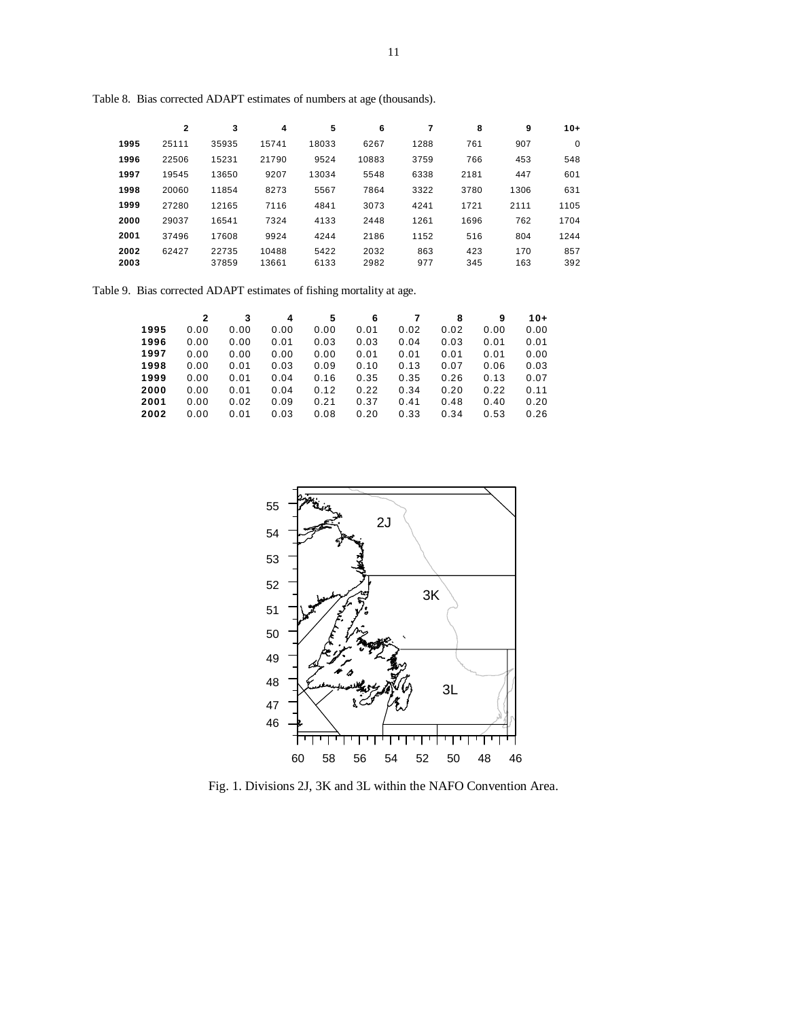|      | $\overline{2}$ | 3     | 4     | 5     | 6     |      | 8    | 9    | $10+$       |
|------|----------------|-------|-------|-------|-------|------|------|------|-------------|
| 1995 | 25111          | 35935 | 15741 | 18033 | 6267  | 1288 | 761  | 907  | $\mathbf 0$ |
| 1996 | 22506          | 15231 | 21790 | 9524  | 10883 | 3759 | 766  | 453  | 548         |
| 1997 | 19545          | 13650 | 9207  | 13034 | 5548  | 6338 | 2181 | 447  | 601         |
| 1998 | 20060          | 11854 | 8273  | 5567  | 7864  | 3322 | 3780 | 1306 | 631         |
| 1999 | 27280          | 12165 | 7116  | 4841  | 3073  | 4241 | 1721 | 2111 | 1105        |
| 2000 | 29037          | 16541 | 7324  | 4133  | 2448  | 1261 | 1696 | 762  | 1704        |
| 2001 | 37496          | 17608 | 9924  | 4244  | 2186  | 1152 | 516  | 804  | 1244        |
| 2002 | 62427          | 22735 | 10488 | 5422  | 2032  | 863  | 423  | 170  | 857         |
| 2003 |                | 37859 | 13661 | 6133  | 2982  | 977  | 345  | 163  | 392         |

Table 8. Bias corrected ADAPT estimates of numbers at age (thousands).

Table 9. Bias corrected ADAPT estimates of fishing mortality at age.

|      | 2    | 3    | 4    | 5    | 6    |      | 8    | 9    | 10+  |
|------|------|------|------|------|------|------|------|------|------|
| 1995 | 0.00 | 0.00 | 0.00 | 0.00 | 0.01 | 0.02 | 0.02 | 0.00 | 0.00 |
| 1996 | 0.00 | 0.00 | 0.01 | 0.03 | 0.03 | 0.04 | 0.03 | 0.01 | 0.01 |
| 1997 | 0.00 | 0.00 | 0.00 | 0.00 | 0.01 | 0.01 | 0.01 | 0.01 | 0.00 |
| 1998 | 0.00 | 0.01 | 0.03 | 0.09 | 0.10 | 0.13 | 0.07 | 0.06 | 0.03 |
| 1999 | 0.00 | 0.01 | 0.04 | 0.16 | 0.35 | 0.35 | 0.26 | 0.13 | 0.07 |
| 2000 | 0.00 | 0.01 | 0.04 | 0.12 | 0.22 | 0.34 | 0.20 | 0.22 | 0.11 |
| 2001 | 0.00 | 0.02 | 0.09 | 0.21 | 0.37 | 0.41 | 0.48 | 0.40 | 0.20 |
| 2002 | 0.00 | 0.01 | 0.03 | 0.08 | 0.20 | 0.33 | 0.34 | 0.53 | 0.26 |



Fig. 1. Divisions 2J, 3K and 3L within the NAFO Convention Area.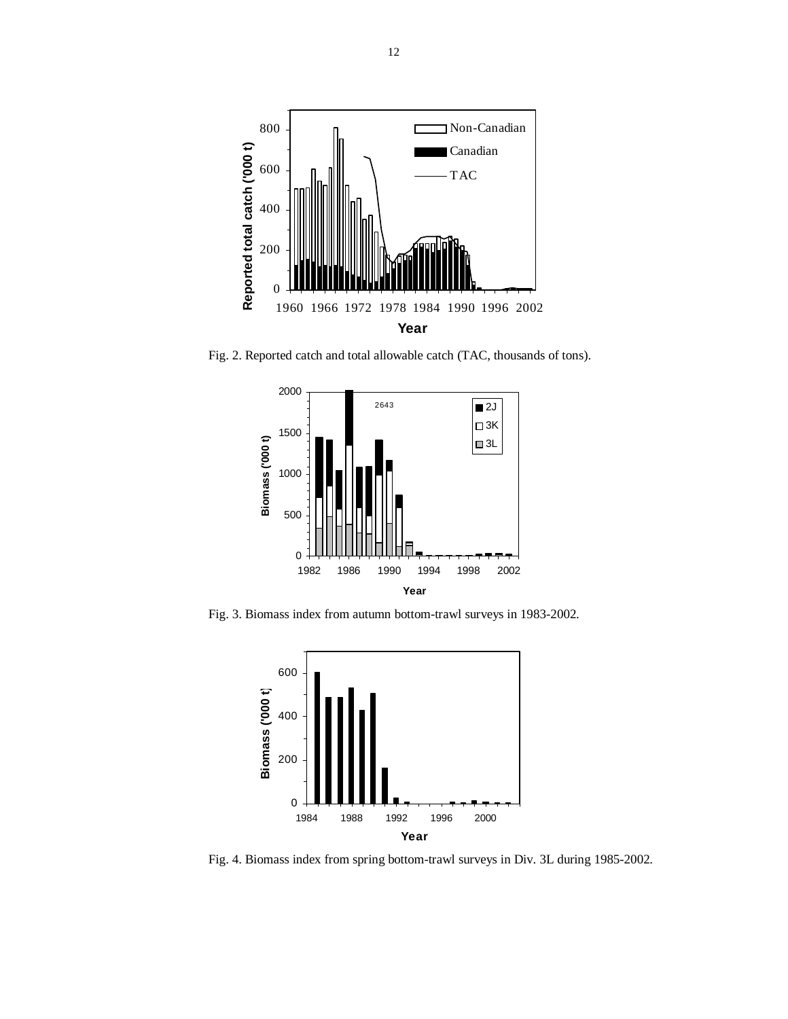

Fig. 2. Reported catch and total allowable catch (TAC, thousands of tons).



Fig. 3. Biomass index from autumn bottom-trawl surveys in 1983-2002.



Fig. 4. Biomass index from spring bottom-trawl surveys in Div. 3L during 1985-2002.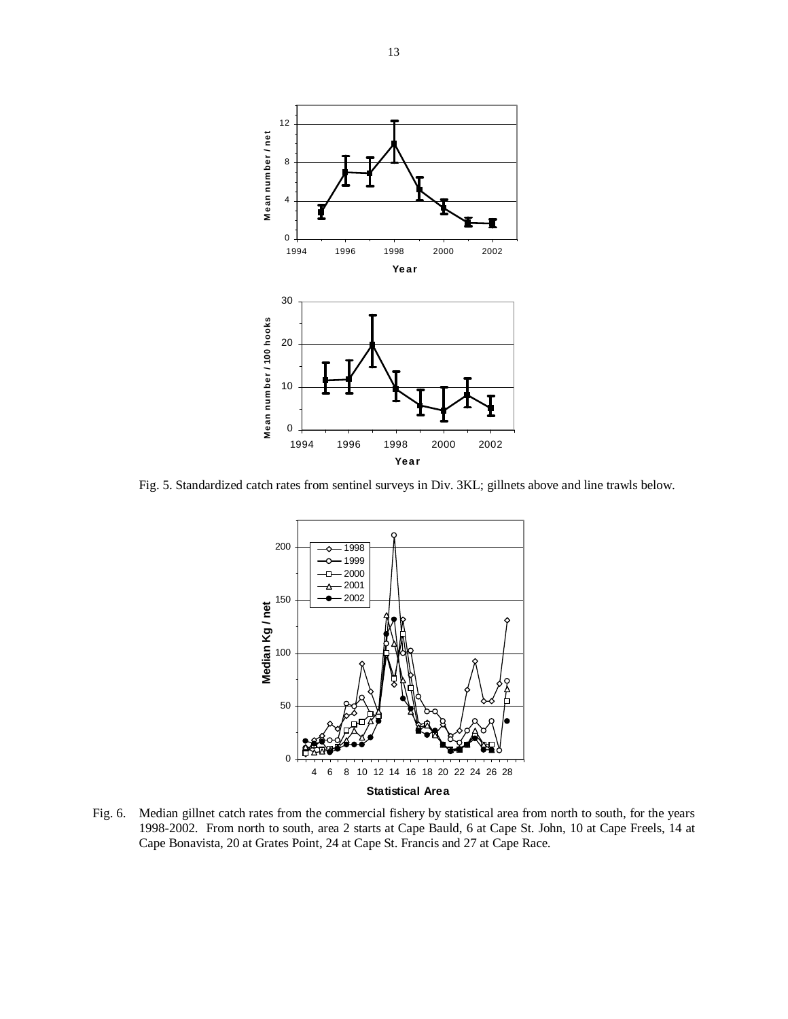

Fig. 5. Standardized catch rates from sentinel surveys in Div. 3KL; gillnets above and line trawls below.



Fig. 6. Median gillnet catch rates from the commercial fishery by statistical area from north to south, for the years 1998-2002. From north to south, area 2 starts at Cape Bauld, 6 at Cape St. John, 10 at Cape Freels, 14 at Cape Bonavista, 20 at Grates Point, 24 at Cape St. Francis and 27 at Cape Race.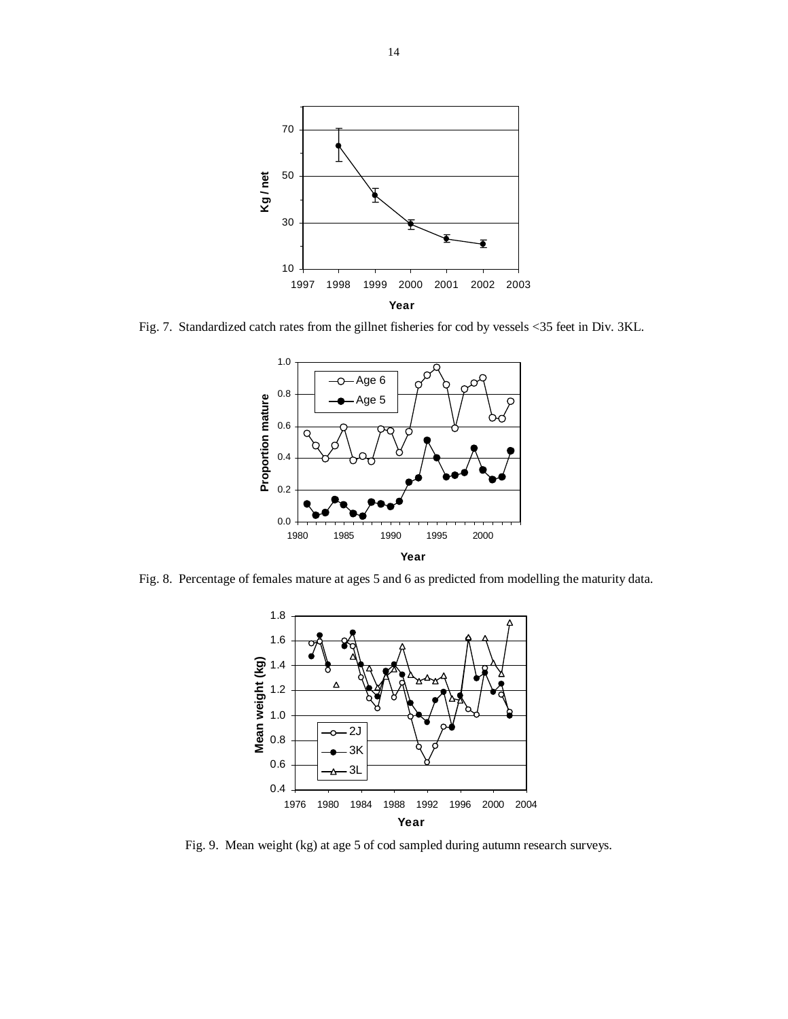

Fig. 7. Standardized catch rates from the gillnet fisheries for cod by vessels <35 feet in Div. 3KL.



Fig. 8. Percentage of females mature at ages 5 and 6 as predicted from modelling the maturity data.



Fig. 9. Mean weight (kg) at age 5 of cod sampled during autumn research surveys.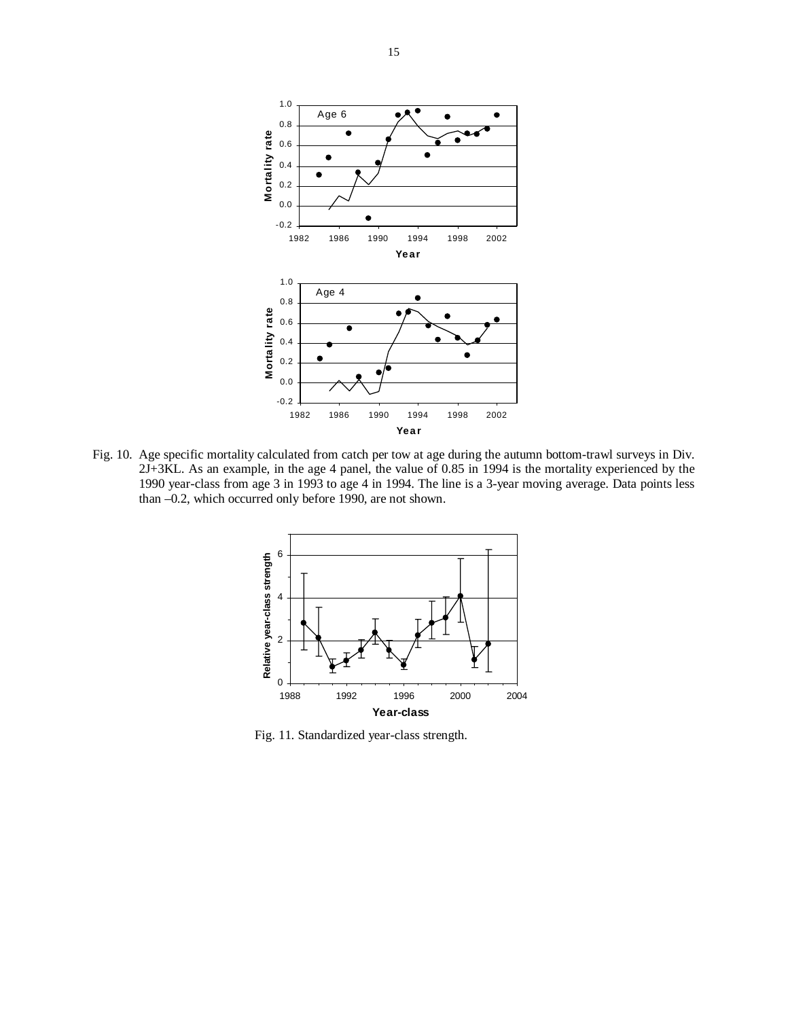

Fig. 10. Age specific mortality calculated from catch per tow at age during the autumn bottom-trawl surveys in Div. 2J+3KL. As an example, in the age 4 panel, the value of 0.85 in 1994 is the mortality experienced by the 1990 year-class from age 3 in 1993 to age 4 in 1994. The line is a 3-year moving average. Data points less than –0.2, which occurred only before 1990, are not shown.



Fig. 11. Standardized year-class strength.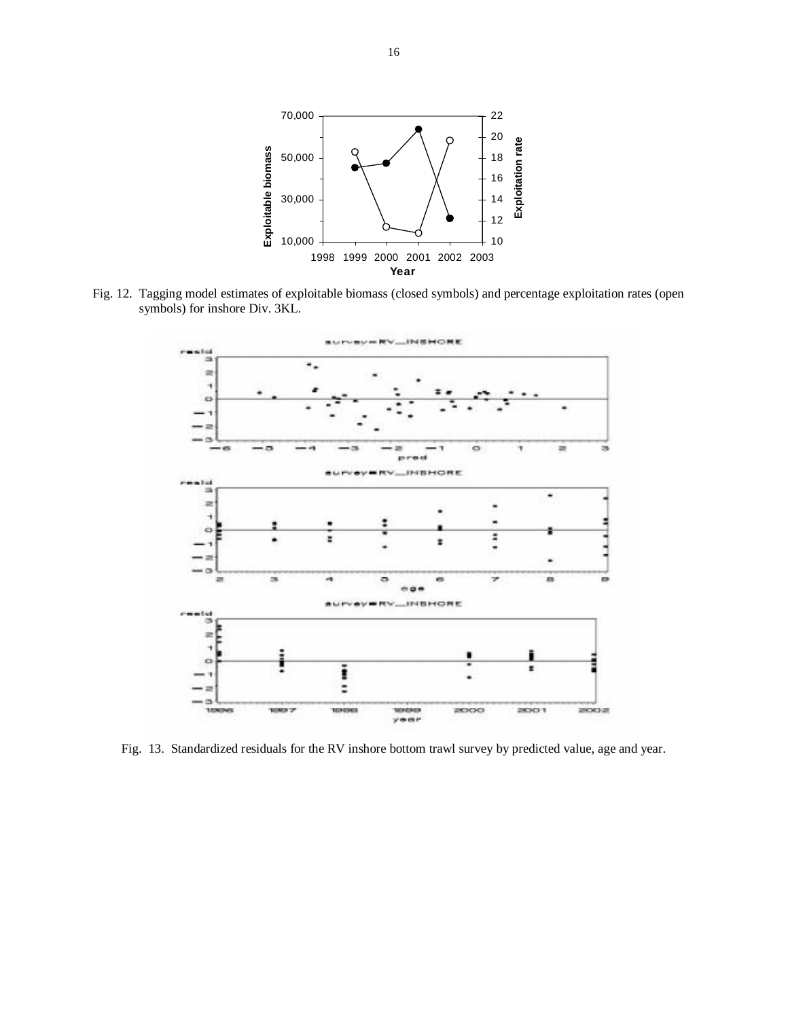

Fig. 12. Tagging model estimates of exploitable biomass (closed symbols) and percentage exploitation rates (open symbols) for inshore Div. 3KL.



Fig. 13. Standardized residuals for the RV inshore bottom trawl survey by predicted value, age and year.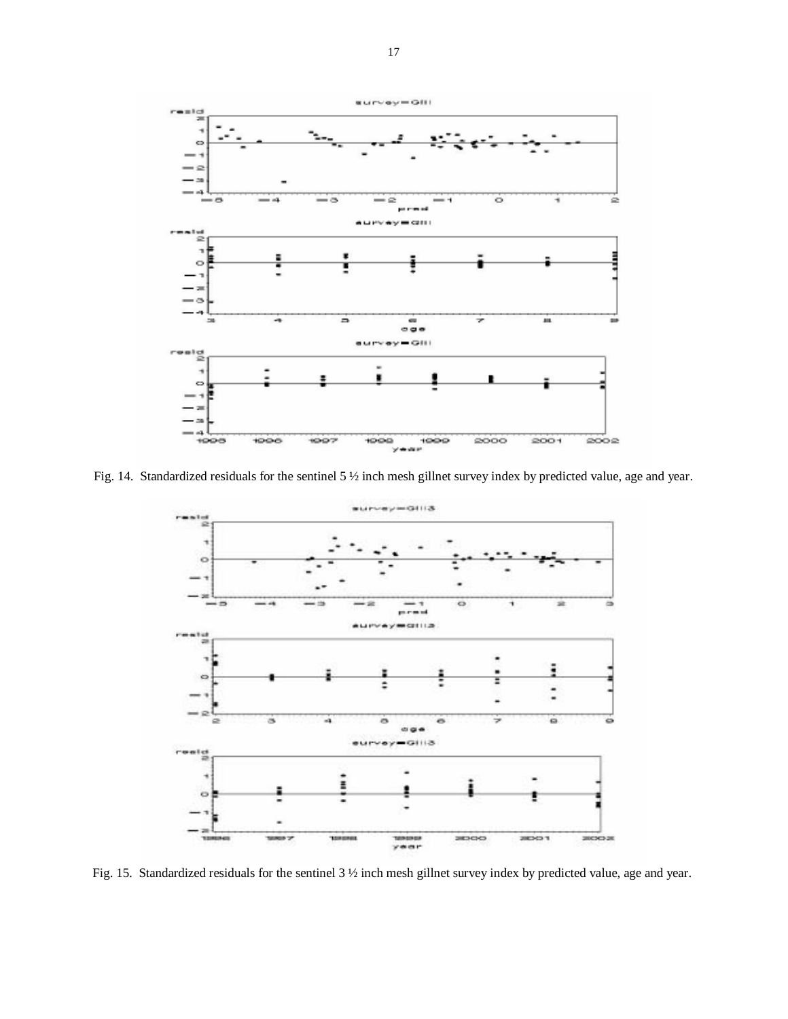

Fig. 14. Standardized residuals for the sentinel 5 ½ inch mesh gillnet survey index by predicted value, age and year.



Fig. 15. Standardized residuals for the sentinel 3 ½ inch mesh gillnet survey index by predicted value, age and year.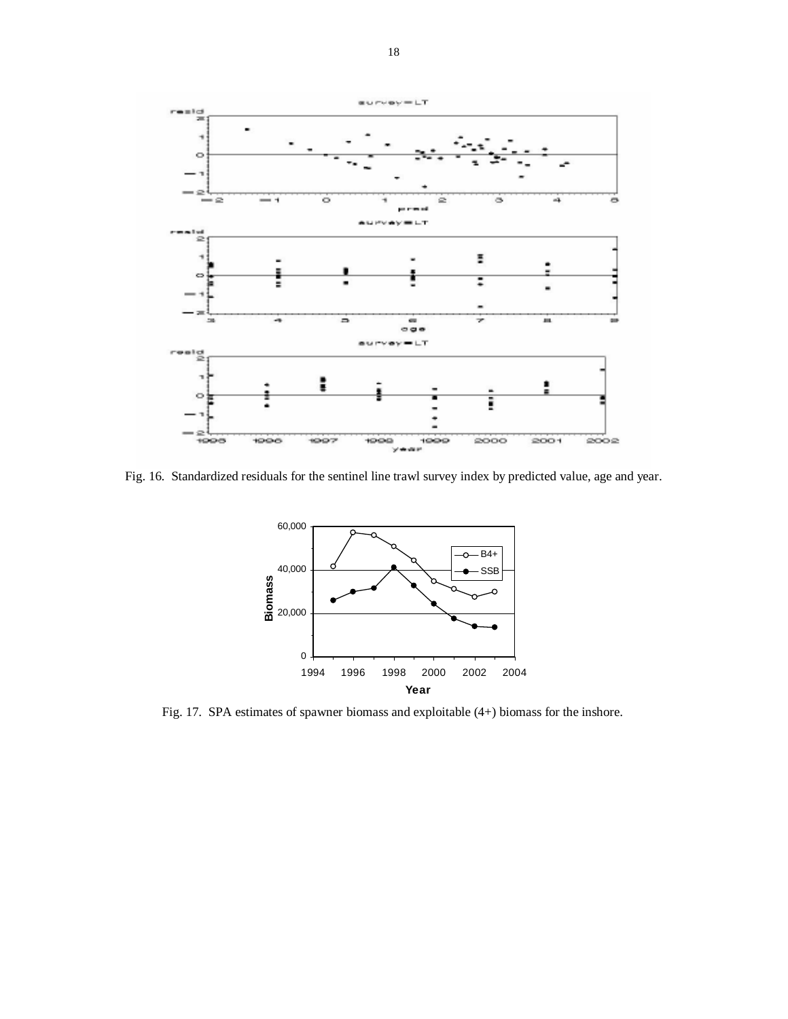

Fig. 16. Standardized residuals for the sentinel line trawl survey index by predicted value, age and year.



Fig. 17. SPA estimates of spawner biomass and exploitable (4+) biomass for the inshore.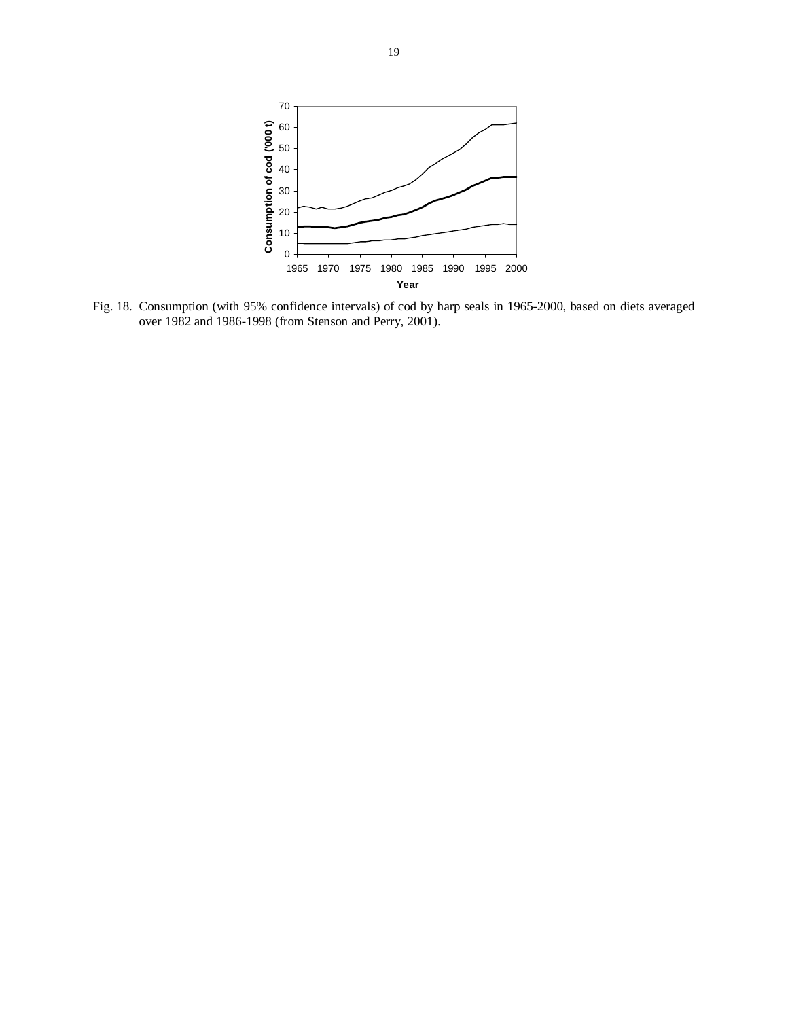

Fig. 18. Consumption (with 95% confidence intervals) of cod by harp seals in 1965-2000, based on diets averaged over 1982 and 1986-1998 (from Stenson and Perry, 2001).